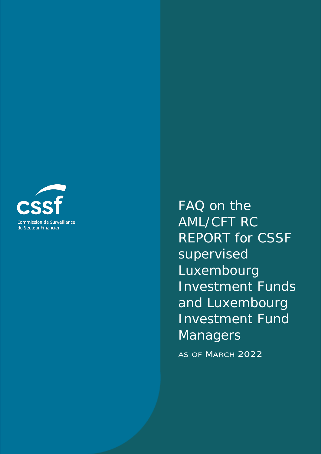

FAQ on the AML/CFT RC REPORT for CSSF supervised Luxembourg Investment Funds and Luxembourg Investment Fund Managers

AS OF MARCH 2022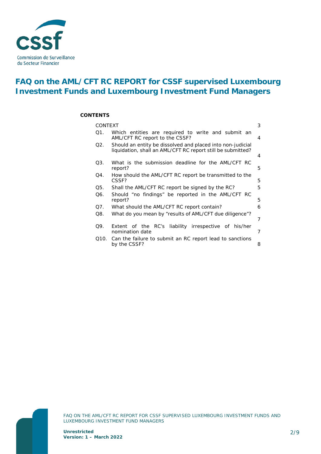

# **FAQ on the AML/CFT RC REPORT for CSSF supervised Luxembourg Investment Funds and Luxembourg Investment Fund Managers**

#### **CONTENTS**

| <b>CONTEXT</b> |                                                                                                                           | 3 |
|----------------|---------------------------------------------------------------------------------------------------------------------------|---|
| Q1.            | Which entities are required to write and submit an<br>AML/CFT RC report to the CSSF?                                      | 4 |
| Q2.            | Should an entity be dissolved and placed into non-judicial<br>liquidation, shall an AML/CFT RC report still be submitted? | 4 |
|                |                                                                                                                           |   |
| O3.            | What is the submission deadline for the AML/CFT RC<br>report?                                                             | 5 |
| Q4.            | How should the AML/CFT RC report be transmitted to the<br>CSSF?                                                           | 5 |
| Q5.            | Shall the AML/CFT RC report be signed by the RC?                                                                          | 5 |
| Q6.            | Should "no findings" be reported in the AML/CFT RC<br>report?                                                             | 5 |
| Q7.            | What should the AML/CFT RC report contain?                                                                                | 6 |
| Q8.            | What do you mean by "results of AML/CFT due diligence"?                                                                   |   |
|                |                                                                                                                           | 7 |
| Q9.            | RC's liability irrespective of his/her<br>Extent of the<br>nomination date                                                | 7 |
| Q10.           | Can the failure to submit an RC report lead to sanctions<br>by the CSSF?                                                  | 8 |
|                |                                                                                                                           |   |

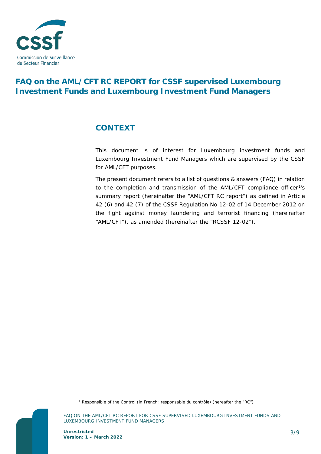

# **FAQ on the AML/CFT RC REPORT for CSSF supervised Luxembourg Investment Funds and Luxembourg Investment Fund Managers**

## <span id="page-2-0"></span>**CONTEXT**

This document is of interest for Luxembourg investment funds and Luxembourg Investment Fund Managers which are supervised by the CSSF for AML/CFT purposes.

The present document refers to a list of questions & answers (FAQ) in relation to the completion and transmission of the AML/CFT compliance officer<sup>1</sup>'s summary report (hereinafter the "AML/CFT RC report") as defined in Article 42 (6) and 42 (7) of the CSSF Regulation No 12-02 of 14 December 2012 on the fight against money laundering and terrorist financing (hereinafter "AML/CFT"), as amended (hereinafter the "RCSSF 12-02").

<span id="page-2-1"></span>*<sup>1</sup> Responsible of the Control (in French: responsable du contrôle) (hereafter the "RC")*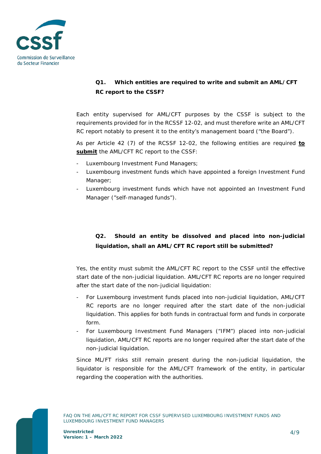

### <span id="page-3-0"></span>**Q1. Which entities are required to write and submit an AML/CFT RC report to the CSSF?**

Each entity supervised for AML/CFT purposes by the CSSF is subject to the requirements provided for in the RCSSF 12-02, and must therefore write an AML/CFT RC report notably to present it to the entity's management board ("the Board").

As per Article 42 (7) of the RCSSF 12-02, the following entities are required **to submit** the AML/CFT RC report to the CSSF:

- Luxembourg Investment Fund Managers;
- Luxembourg investment funds which have appointed a foreign Investment Fund Manager;
- Luxembourg investment funds which have not appointed an Investment Fund Manager ("self-managed funds").

### <span id="page-3-1"></span>**Q2. Should an entity be dissolved and placed into non-judicial liquidation, shall an AML/CFT RC report still be submitted?**

Yes, the entity must submit the AML/CFT RC report to the CSSF until the effective start date of the non-judicial liquidation. AML/CFT RC reports are no longer required after the start date of the non-judicial liquidation:

- For Luxembourg investment funds placed into non-judicial liquidation, AML/CFT RC reports are no longer required after the start date of the non-judicial liquidation. This applies for both funds in contractual form and funds in corporate form.
- For Luxembourg Investment Fund Managers ("IFM") placed into non-judicial liquidation, AML/CFT RC reports are no longer required after the start date of the non-judicial liquidation.

Since ML/FT risks still remain present during the non-judicial liquidation, the liquidator is responsible for the AML/CFT framework of the entity, in particular regarding the cooperation with the authorities.

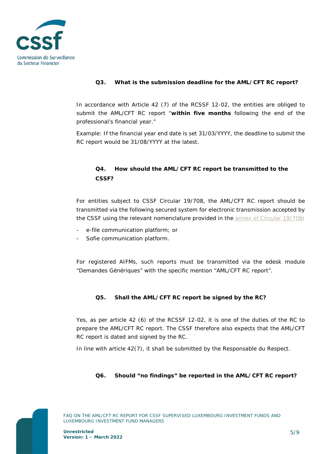

### <span id="page-4-0"></span>**Q3. What is the submission deadline for the AML/CFT RC report?**

In accordance with Article 42 (7) of the RCSSF 12-02, the entities are obliged to submit the AML/CFT RC report "*within five months following the end of the professional's financial year*."

Example: If the financial year end date is set 31/03/YYYY, the deadline to submit the RC report would be 31/08/YYYY at the latest.

### <span id="page-4-1"></span>**Q4. How should the AML/CFT RC report be transmitted to the CSSF?**

For entities subject to CSSF Circular 19/708, the AML/CFT RC report should be transmitted via the following secured system for electronic transmission accepted by the CSSF using the relevant nomenclature provided in the [annex of Circular 19/708:](https://www.cssf.lu/wp-content/uploads/cssf19_708_annex_eng.pdf)

- *e-file* communication platform; or
- *Sofie* communication platform.

For registered AIFMs, such reports must be transmitted via the edesk module "Demandes Génériques" with the specific mention "AML/CFT RC report".

#### <span id="page-4-2"></span>**Q5. Shall the AML/CFT RC report be signed by the RC?**

Yes, as per article 42 (6) of the RCSSF 12-02, it is one of the duties of the RC to prepare the AML/CFT RC report. The CSSF therefore also expects that the AML/CFT RC report is dated and signed by the RC.

In line with article 42(7), it shall be submitted by the Responsable du Respect.

#### <span id="page-4-3"></span>**Q6. Should "no findings" be reported in the AML/CFT RC report?**

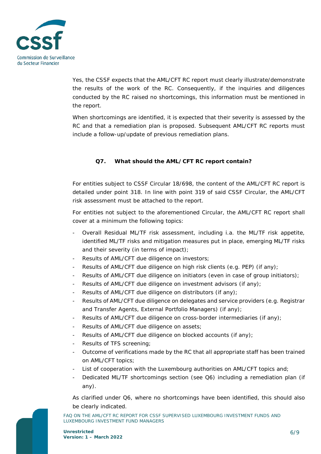

Yes, the CSSF expects that the AML/CFT RC report must clearly illustrate/demonstrate the results of the work of the RC. Consequently, if the inquiries and diligences conducted by the RC raised no shortcomings, this information must be mentioned in the report.

When shortcomings are identified, it is expected that their severity is assessed by the RC and that a remediation plan is proposed. Subsequent AML/CFT RC reports must include a follow-up/update of previous remediation plans.

### <span id="page-5-0"></span>**Q7. What should the AML/CFT RC report contain?**

For entities subject to CSSF Circular 18/698, the content of the AML/CFT RC report is detailed under point 318. In line with point 319 of said CSSF Circular, the AML/CFT risk assessment must be attached to the report.

For entities not subject to the aforementioned Circular, the AML/CFT RC report shall cover at a minimum the following topics:

- Overall Residual ML/TF risk assessment, including i.a. the ML/TF risk appetite, identified ML/TF risks and mitigation measures put in place, emerging ML/TF risks and their severity (in terms of impact);
- Results of AML/CFT due diligence on investors;
- Results of AML/CFT due diligence on high risk clients (e.g. PEP) (if any);
- Results of AML/CFT due diligence on initiators (even in case of group initiators);
- Results of AML/CFT due diligence on investment advisors (if any);
- Results of AML/CFT due diligence on distributors (if any);
- Results of AML/CFT due diligence on delegates and service providers (e.g. Registrar and Transfer Agents, External Portfolio Managers) (if any);
- Results of AML/CFT due diligence on cross-border intermediaries (if any);
- Results of AML/CFT due diligence on assets;
- Results of AML/CFT due diligence on blocked accounts (if any);
- Results of TFS screening;
- Outcome of verifications made by the RC that all appropriate staff has been trained on AML/CFT topics;
- List of cooperation with the Luxembourg authorities on AML/CFT topics and;
- Dedicated ML/TF shortcomings section (see Q6) including a remediation plan (if any).

As clarified under Q6, where no shortcomings have been identified, this should also be clearly indicated.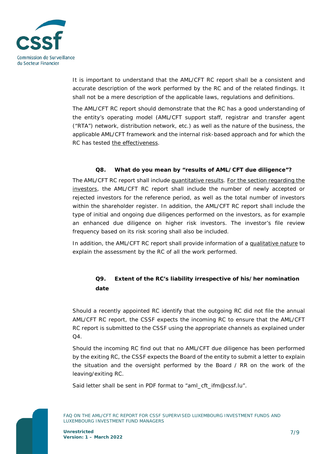

It is important to understand that the AML/CFT RC report shall be a consistent and accurate description of the work performed by the RC and of the related findings. It shall not be a mere description of the applicable laws, regulations and definitions.

The AML/CFT RC report should demonstrate that the RC has a good understanding of the entity's operating model (AML/CFT support staff, registrar and transfer agent ("RTA") network, distribution network, etc.) as well as the nature of the business, the applicable AML/CFT framework and the internal risk-based approach and for which the RC has tested the effectiveness.

#### <span id="page-6-0"></span>**Q8. What do you mean by "results of AML/CFT due diligence"?**

The AML/CFT RC report shall include quantitative results. For the section regarding the investors, the AML/CFT RC report shall include the number of newly accepted or rejected investors for the reference period, as well as the total number of investors within the shareholder register. In addition, the AML/CFT RC report shall include the type of initial and ongoing due diligences performed on the investors, as for example an enhanced due diligence on higher risk investors. The investor's file review frequency based on its risk scoring shall also be included.

In addition, the AML/CFT RC report shall provide information of a qualitative nature to explain the assessment by the RC of all the work performed.

### <span id="page-6-1"></span>**Q9. Extent of the RC's liability irrespective of his/her nomination date**

Should a recently appointed RC identify that the outgoing RC did not file the annual AML/CFT RC report, the CSSF expects the incoming RC to ensure that the AML/CFT RC report is submitted to the CSSF using the appropriate channels as explained under  $\Omega$ 

Should the incoming RC find out that no AML/CFT due diligence has been performed by the exiting RC, the CSSF expects the Board of the entity to submit a letter to explain the situation and the oversight performed by the Board / RR on the work of the leaving/exiting RC.

Said letter shall be sent in PDF format to "aml\_cft\_ifm@cssf.lu".

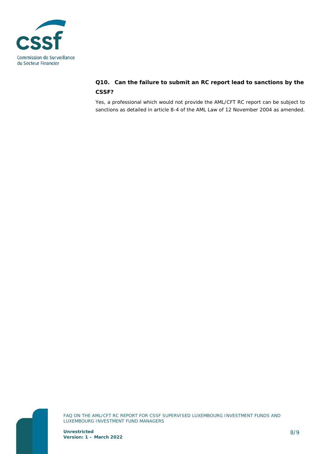

### <span id="page-7-0"></span>**Q10. Can the failure to submit an RC report lead to sanctions by the CSSF?**

Yes, a professional which would not provide the AML/CFT RC report can be subject to sanctions as detailed in article 8-4 of the AML Law of 12 November 2004 as amended.



FAQ ON THE AML/CFT RC REPORT FOR CSSF SUPERVISED LUXEMBOURG INVESTMENT FUNDS AND LUXEMBOURG INVESTMENT FUND MANAGERS

**Unrestricted Version: 1 – March 2022**